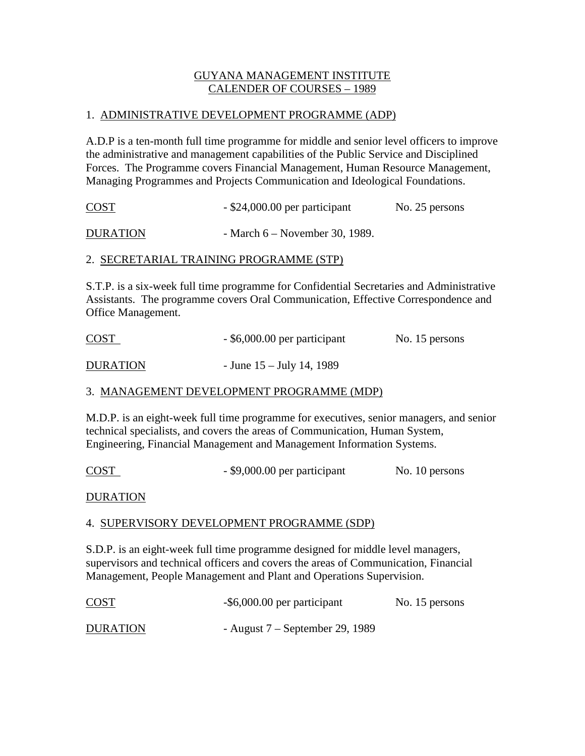# GUYANA MANAGEMENT INSTITUTE CALENDER OF COURSES – 1989

#### 1. ADMINISTRATIVE DEVELOPMENT PROGRAMME (ADP)

A.D.P is a ten-month full time programme for middle and senior level officers to improve the administrative and management capabilities of the Public Service and Disciplined Forces. The Programme covers Financial Management, Human Resource Management, Managing Programmes and Projects Communication and Ideological Foundations.

| <b>COST</b> | $-$ \$24,000.00 per participant | No. 25 persons |
|-------------|---------------------------------|----------------|
|             |                                 |                |

DURATION - March 6 – November 30, 1989.

## 2. SECRETARIAL TRAINING PROGRAMME (STP)

S.T.P. is a six-week full time programme for Confidential Secretaries and Administrative Assistants. The programme covers Oral Communication, Effective Correspondence and Office Management.

| <b>COST</b>     | - \$6,000.00 per participant | No. 15 persons |
|-----------------|------------------------------|----------------|
| <b>DURATION</b> | - June $15 -$ July 14, 1989  |                |

## 3. MANAGEMENT DEVELOPMENT PROGRAMME (MDP)

M.D.P. is an eight-week full time programme for executives, senior managers, and senior technical specialists, and covers the areas of Communication, Human System, Engineering, Financial Management and Management Information Systems.

COST - \$9,000.00 per participant No. 10 persons

DURATION

## 4. SUPERVISORY DEVELOPMENT PROGRAMME (SDP)

S.D.P. is an eight-week full time programme designed for middle level managers, supervisors and technical officers and covers the areas of Communication, Financial Management, People Management and Plant and Operations Supervision.

| <b>COST</b>     | -\$6,000.00 per participant       | No. 15 persons |
|-----------------|-----------------------------------|----------------|
| <b>DURATION</b> | - August $7$ – September 29, 1989 |                |